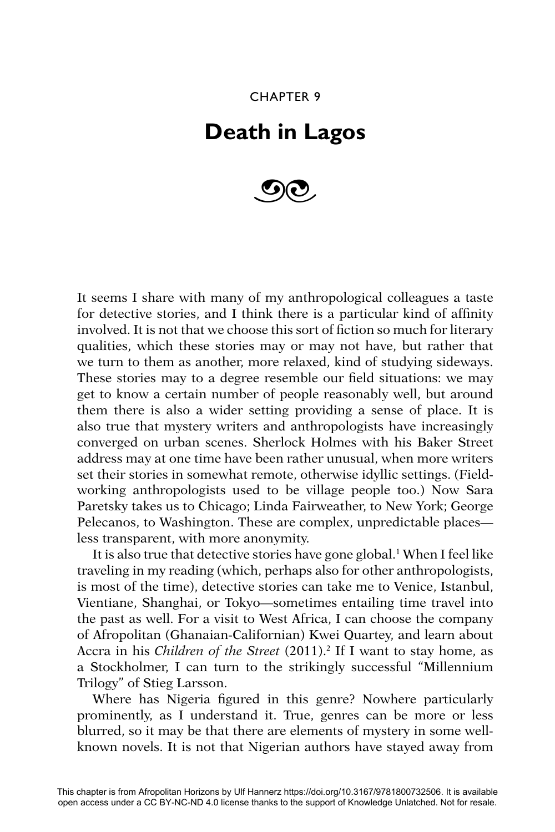## CHAPTER 9

## **Death in Lagos**



It seems I share with many of my anthropological colleagues a taste for detective stories, and I think there is a particular kind of affinity involved. It is not that we choose this sort of fiction so much for literary qualities, which these stories may or may not have, but rather that we turn to them as another, more relaxed, kind of studying sideways. These stories may to a degree resemble our field situations: we may get to know a certain number of people reasonably well, but around them there is also a wider setting providing a sense of place. It is also true that mystery writers and anthropologists have increasingly converged on urban scenes. Sherlock Holmes with his Baker Street address may at one time have been rather unusual, when more writers set their stories in somewhat remote, otherwise idyllic settings. (Fieldworking anthropologists used to be village people too.) Now Sara Paretsky takes us to Chicago; Linda Fairweather, to New York; George Pelecanos, to Washington. These are complex, unpredictable places less transparent, with more anonymity.

It is also true that detective stories have gone global.1 When I feel like traveling in my reading (which, perhaps also for other anthropologists, is most of the time), detective stories can take me to Venice, Istanbul, Vientiane, Shanghai, or Tokyo—sometimes entailing time travel into the past as well. For a visit to West Africa, I can choose the company of Afropolitan (Ghanaian-Californian) Kwei Quartey, and learn about Accra in his *Children of the Street* (2011).<sup>2</sup> If I want to stay home, as a Stockholmer, I can turn to the strikingly successful "Millennium Trilogy" of Stieg Larsson.

Where has Nigeria figured in this genre? Nowhere particularly prominently, as I understand it. True, genres can be more or less blurred, so it may be that there are elements of mystery in some wellknown novels. It is not that Nigerian authors have stayed away from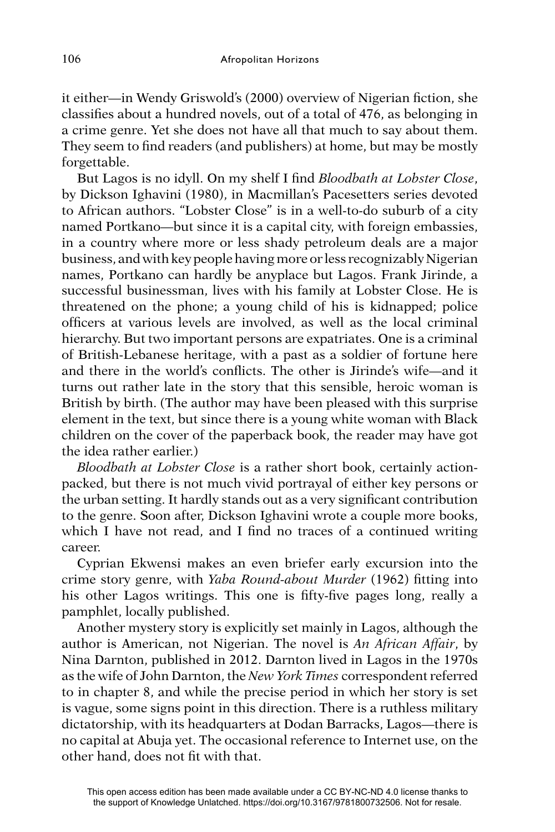it either—in Wendy Griswold's (2000) overview of Nigerian fiction, she classifies about a hundred novels, out of a total of 476, as belonging in a crime genre. Yet she does not have all that much to say about them. They seem to find readers (and publishers) at home, but may be mostly forgettable.

But Lagos is no idyll. On my shelf I find *Bloodbath at Lobster Close*, by Dickson Ighavini (1980), in Macmillan's Pacesetters series devoted to African authors. "Lobster Close" is in a well-to-do suburb of a city named Portkano—but since it is a capital city, with foreign embassies, in a country where more or less shady petroleum deals are a major business, and with key people having more or less recognizably Nigerian names, Portkano can hardly be anyplace but Lagos. Frank Jirinde, a successful businessman, lives with his family at Lobster Close. He is threatened on the phone; a young child of his is kidnapped; police officers at various levels are involved, as well as the local criminal hierarchy. But two important persons are expatriates. One is a criminal of British-Lebanese heritage, with a past as a soldier of fortune here and there in the world's conflicts. The other is Jirinde's wife—and it turns out rather late in the story that this sensible, heroic woman is British by birth. (The author may have been pleased with this surprise element in the text, but since there is a young white woman with Black children on the cover of the paperback book, the reader may have got the idea rather earlier.)

*Bloodbath at Lobster Close* is a rather short book, certainly actionpacked, but there is not much vivid portrayal of either key persons or the urban setting. It hardly stands out as a very significant contribution to the genre. Soon after, Dickson Ighavini wrote a couple more books, which I have not read, and I find no traces of a continued writing career.

Cyprian Ekwensi makes an even briefer early excursion into the crime story genre, with *Yaba Round-about Murder* (1962) fitting into his other Lagos writings. This one is fifty-five pages long, really a pamphlet, locally published.

Another mystery story is explicitly set mainly in Lagos, although the author is American, not Nigerian. The novel is *An African Affair*, by Nina Darnton, published in 2012. Darnton lived in Lagos in the 1970s as the wife of John Darnton, the *New York Times* correspondent referred to in chapter 8, and while the precise period in which her story is set is vague, some signs point in this direction. There is a ruthless military dictatorship, with its headquarters at Dodan Barracks, Lagos—there is no capital at Abuja yet. The occasional reference to Internet use, on the other hand, does not fit with that.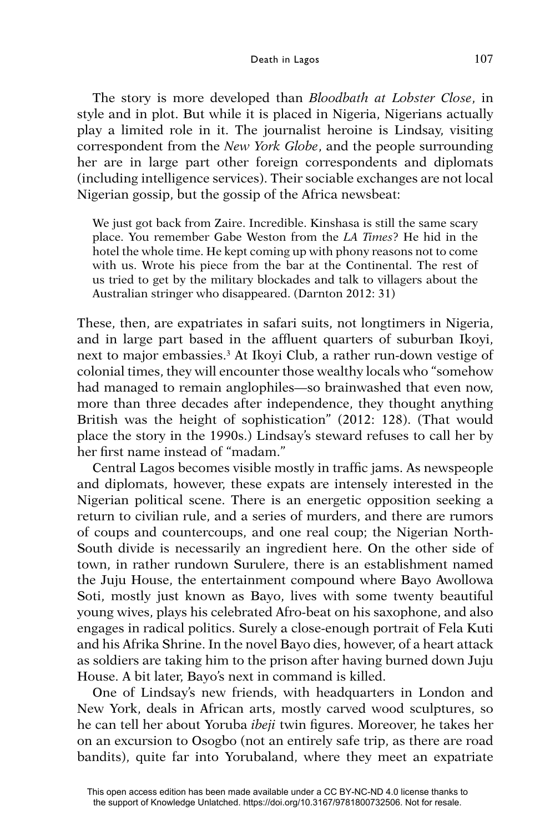The story is more developed than *Bloodbath at Lobster Close*, in style and in plot. But while it is placed in Nigeria, Nigerians actually play a limited role in it. The journalist heroine is Lindsay, visiting correspondent from the *New York Globe*, and the people surrounding her are in large part other foreign correspondents and diplomats (including intelligence services). Their sociable exchanges are not local Nigerian gossip, but the gossip of the Africa newsbeat:

We just got back from Zaire. Incredible. Kinshasa is still the same scary place. You remember Gabe Weston from the *LA Times*? He hid in the hotel the whole time. He kept coming up with phony reasons not to come with us. Wrote his piece from the bar at the Continental. The rest of us tried to get by the military blockades and talk to villagers about the Australian stringer who disappeared. (Darnton 2012: 31)

These, then, are expatriates in safari suits, not longtimers in Nigeria, and in large part based in the affluent quarters of suburban Ikoyi, next to major embassies.3 At Ikoyi Club, a rather run-down vestige of colonial times, they will encounter those wealthy locals who "somehow had managed to remain anglophiles—so brainwashed that even now, more than three decades after independence, they thought anything British was the height of sophistication" (2012: 128). (That would place the story in the 1990s.) Lindsay's steward refuses to call her by her first name instead of "madam."

Central Lagos becomes visible mostly in traffic jams. As newspeople and diplomats, however, these expats are intensely interested in the Nigerian political scene. There is an energetic opposition seeking a return to civilian rule, and a series of murders, and there are rumors of coups and countercoups, and one real coup; the Nigerian North-South divide is necessarily an ingredient here. On the other side of town, in rather rundown Surulere, there is an establishment named the Juju House, the entertainment compound where Bayo Awollowa Soti, mostly just known as Bayo, lives with some twenty beautiful young wives, plays his celebrated Afro-beat on his saxophone, and also engages in radical politics. Surely a close-enough portrait of Fela Kuti and his Afrika Shrine. In the novel Bayo dies, however, of a heart attack as soldiers are taking him to the prison after having burned down Juju House. A bit later, Bayo's next in command is killed.

One of Lindsay's new friends, with headquarters in London and New York, deals in African arts, mostly carved wood sculptures, so he can tell her about Yoruba *ibeji* twin figures. Moreover, he takes her on an excursion to Osogbo (not an entirely safe trip, as there are road bandits), quite far into Yorubaland, where they meet an expatriate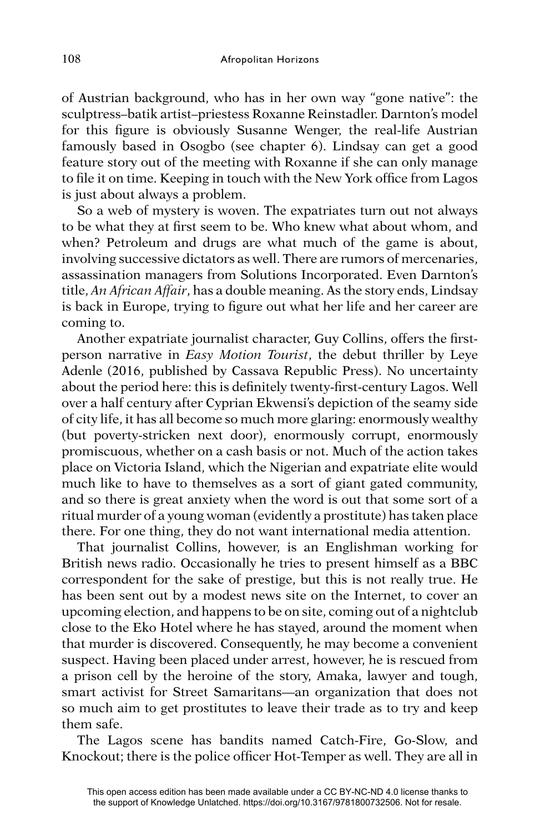of Austrian background, who has in her own way "gone native": the sculptress–batik artist–priestess Roxanne Reinstadler. Darnton's model for this figure is obviously Susanne Wenger, the real-life Austrian famously based in Osogbo (see chapter 6). Lindsay can get a good feature story out of the meeting with Roxanne if she can only manage to file it on time. Keeping in touch with the New York office from Lagos is just about always a problem.

So a web of mystery is woven. The expatriates turn out not always to be what they at first seem to be. Who knew what about whom, and when? Petroleum and drugs are what much of the game is about, involving successive dictators as well. There are rumors of mercenaries, assassination managers from Solutions Incorporated. Even Darnton's title, *An African Affair*, has a double meaning. As the story ends, Lindsay is back in Europe, trying to figure out what her life and her career are coming to.

Another expatriate journalist character, Guy Collins, offers the firstperson narrative in *Easy Motion Tourist*, the debut thriller by Leye Adenle (2016, published by Cassava Republic Press). No uncertainty about the period here: this is definitely twenty-first-century Lagos. Well over a half century after Cyprian Ekwensi's depiction of the seamy side of city life, it has all become so much more glaring: enormously wealthy (but poverty-stricken next door), enormously corrupt, enormously promiscuous, whether on a cash basis or not. Much of the action takes place on Victoria Island, which the Nigerian and expatriate elite would much like to have to themselves as a sort of giant gated community, and so there is great anxiety when the word is out that some sort of a ritual murder of a young woman (evidently a prostitute) has taken place there. For one thing, they do not want international media attention.

That journalist Collins, however, is an Englishman working for British news radio. Occasionally he tries to present himself as a BBC correspondent for the sake of prestige, but this is not really true. He has been sent out by a modest news site on the Internet, to cover an upcoming election, and happens to be on site, coming out of a nightclub close to the Eko Hotel where he has stayed, around the moment when that murder is discovered. Consequently, he may become a convenient suspect. Having been placed under arrest, however, he is rescued from a prison cell by the heroine of the story, Amaka, lawyer and tough, smart activist for Street Samaritans—an organization that does not so much aim to get prostitutes to leave their trade as to try and keep them safe.

The Lagos scene has bandits named Catch-Fire, Go-Slow, and Knockout; there is the police officer Hot-Temper as well. They are all in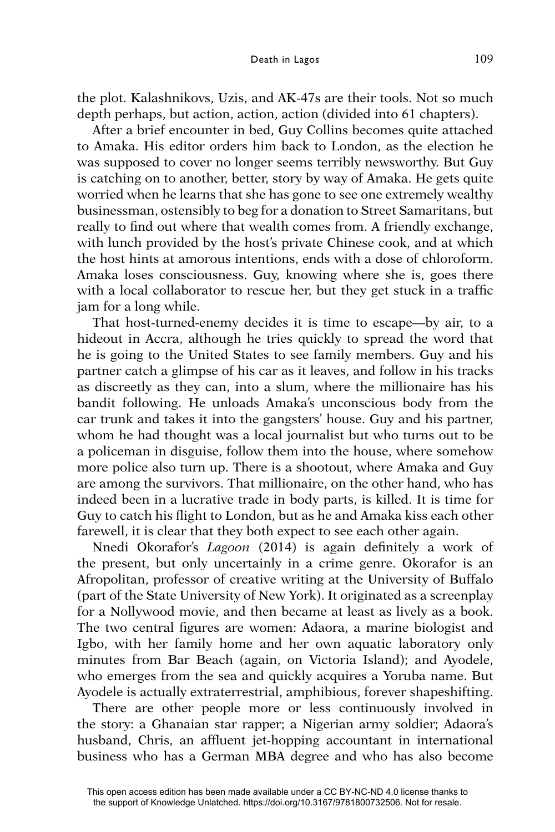the plot. Kalashnikovs, Uzis, and AK-47s are their tools. Not so much depth perhaps, but action, action, action (divided into 61 chapters).

After a brief encounter in bed, Guy Collins becomes quite attached to Amaka. His editor orders him back to London, as the election he was supposed to cover no longer seems terribly newsworthy. But Guy is catching on to another, better, story by way of Amaka. He gets quite worried when he learns that she has gone to see one extremely wealthy businessman, ostensibly to beg for a donation to Street Samaritans, but really to find out where that wealth comes from. A friendly exchange, with lunch provided by the host's private Chinese cook, and at which the host hints at amorous intentions, ends with a dose of chloroform. Amaka loses consciousness. Guy, knowing where she is, goes there with a local collaborator to rescue her, but they get stuck in a traffic jam for a long while.

That host-turned-enemy decides it is time to escape—by air, to a hideout in Accra, although he tries quickly to spread the word that he is going to the United States to see family members. Guy and his partner catch a glimpse of his car as it leaves, and follow in his tracks as discreetly as they can, into a slum, where the millionaire has his bandit following. He unloads Amaka's unconscious body from the car trunk and takes it into the gangsters' house. Guy and his partner, whom he had thought was a local journalist but who turns out to be a policeman in disguise, follow them into the house, where somehow more police also turn up. There is a shootout, where Amaka and Guy are among the survivors. That millionaire, on the other hand, who has indeed been in a lucrative trade in body parts, is killed. It is time for Guy to catch his flight to London, but as he and Amaka kiss each other farewell, it is clear that they both expect to see each other again.

Nnedi Okorafor's *Lagoon* (2014) is again definitely a work of the present, but only uncertainly in a crime genre. Okorafor is an Afropolitan, professor of creative writing at the University of Buffalo (part of the State University of New York). It originated as a screenplay for a Nollywood movie, and then became at least as lively as a book. The two central figures are women: Adaora, a marine biologist and Igbo, with her family home and her own aquatic laboratory only minutes from Bar Beach (again, on Victoria Island); and Ayodele, who emerges from the sea and quickly acquires a Yoruba name. But Ayodele is actually extraterrestrial, amphibious, forever shapeshifting.

There are other people more or less continuously involved in the story: a Ghanaian star rapper; a Nigerian army soldier; Adaora's husband, Chris, an affluent jet-hopping accountant in international business who has a German MBA degree and who has also become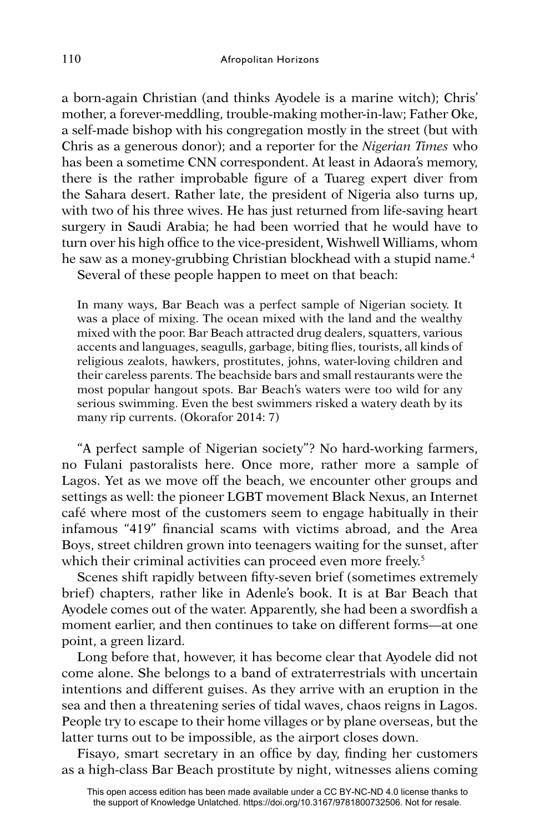a born-again Christian (and thinks Ayodele is a marine witch); Chris' mother, a forever-meddling, trouble-making mother-in-law; Father Oke, a self-made bishop with his congregation mostly in the street (but with Chris as a generous donor); and a reporter for the *Nigerian Times* who has been a sometime CNN correspondent. At least in Adaora's memory, there is the rather improbable figure of a Tuareg expert diver from the Sahara desert. Rather late, the president of Nigeria also turns up, with two of his three wives. He has just returned from life-saving heart surgery in Saudi Arabia; he had been worried that he would have to turn over his high office to the vice-president, Wishwell Williams, whom he saw as a money-grubbing Christian blockhead with a stupid name.<sup>4</sup> Several of these people happen to meet on that beach:

In many ways, Bar Beach was a perfect sample of Nigerian society. It was a place of mixing. The ocean mixed with the land and the wealthy mixed with the poor. Bar Beach attracted drug dealers, squatters, various accents and languages, seagulls, garbage, biting flies, tourists, all kinds of religious zealots, hawkers, prostitutes, johns, water-loving children and their careless parents. The beachside bars and small restaurants were the most popular hangout spots. Bar Beach's waters were too wild for any serious swimming. Even the best swimmers risked a watery death by its many rip currents. (Okorafor 2014: 7)

"A perfect sample of Nigerian society"? No hard-working farmers, no Fulani pastoralists here. Once more, rather more a sample of Lagos. Yet as we move off the beach, we encounter other groups and settings as well: the pioneer LGBT movement Black Nexus, an Internet café where most of the customers seem to engage habitually in their infamous "419" financial scams with victims abroad, and the Area Boys, street children grown into teenagers waiting for the sunset, after which their criminal activities can proceed even more freely.<sup>5</sup>

Scenes shift rapidly between fifty-seven brief (sometimes extremely brief) chapters, rather like in Adenle's book. It is at Bar Beach that Avodele comes out of the water. Apparently, she had been a swordfish a moment earlier, and then continues to take on different forms—at one point, a green lizard.

Long before that, however, it has become clear that Ayodele did not come alone. She belongs to a band of extraterrestrials with uncertain intentions and different guises. As they arrive with an eruption in the sea and then a threatening series of tidal waves, chaos reigns in Lagos. People try to escape to their home villages or by plane overseas, but the latter turns out to be impossible, as the airport closes down.

Fisayo, smart secretary in an office by day, finding her customers as a high-class Bar Beach prostitute by night, witnesses aliens coming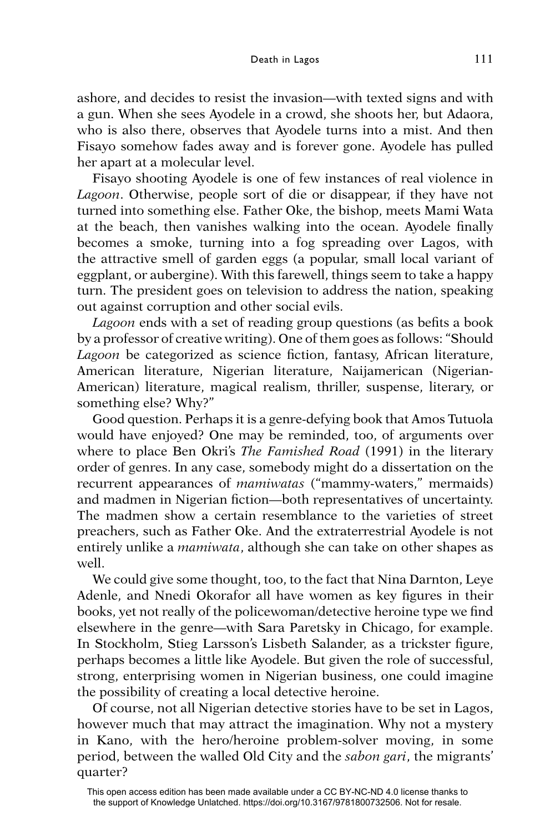ashore, and decides to resist the invasion—with texted signs and with a gun. When she sees Ayodele in a crowd, she shoots her, but Adaora, who is also there, observes that Ayodele turns into a mist. And then Fisayo somehow fades away and is forever gone. Ayodele has pulled her apart at a molecular level.

Fisayo shooting Ayodele is one of few instances of real violence in *Lagoon*. Otherwise, people sort of die or disappear, if they have not turned into something else. Father Oke, the bishop, meets Mami Wata at the beach, then vanishes walking into the ocean. Ayodele finally becomes a smoke, turning into a fog spreading over Lagos, with the attractive smell of garden eggs (a popular, small local variant of eggplant, or aubergine). With this farewell, things seem to take a happy turn. The president goes on television to address the nation, speaking out against corruption and other social evils.

*Lagoon* ends with a set of reading group questions (as befits a book by a professor of creative writing). One of them goes as follows: "Should Lagoon be categorized as science fiction, fantasy, African literature, American literature, Nigerian literature, Naijamerican (Nigerian-American) literature, magical realism, thriller, suspense, literary, or something else? Why?"

Good question. Perhaps it is a genre-defying book that Amos Tutuola would have enjoyed? One may be reminded, too, of arguments over where to place Ben Okri's *The Famished Road* (1991) in the literary order of genres. In any case, somebody might do a dissertation on the recurrent appearances of *mamiwatas* ("mammy-waters," mermaids) and madmen in Nigerian fiction—both representatives of uncertainty. The madmen show a certain resemblance to the varieties of street preachers, such as Father Oke. And the extraterrestrial Ayodele is not entirely unlike a *mamiwata*, although she can take on other shapes as well.

We could give some thought, too, to the fact that Nina Darnton, Leye Adenle, and Nnedi Okorafor all have women as key figures in their books, yet not really of the policewoman/detective heroine type we find elsewhere in the genre—with Sara Paretsky in Chicago, for example. In Stockholm, Stieg Larsson's Lisbeth Salander, as a trickster figure, perhaps becomes a little like Ayodele. But given the role of successful, strong, enterprising women in Nigerian business, one could imagine the possibility of creating a local detective heroine.

Of course, not all Nigerian detective stories have to be set in Lagos, however much that may attract the imagination. Why not a mystery in Kano, with the hero/heroine problem-solver moving, in some period, between the walled Old City and the *sabon gari*, the migrants' quarter?